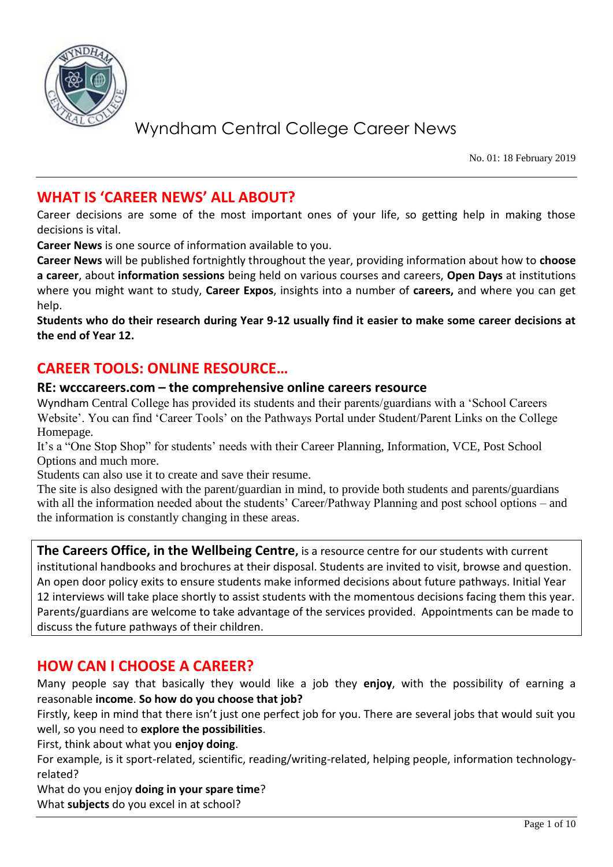

No. 01: 18 February 2019

### **WHAT IS 'CAREER NEWS' ALL ABOUT?**

Career decisions are some of the most important ones of your life, so getting help in making those decisions is vital.

**Career News** is one source of information available to you.

**Career News** will be published fortnightly throughout the year, providing information about how to **choose a career**, about **information sessions** being held on various courses and careers, **Open Days** at institutions where you might want to study, **Career Expos**, insights into a number of **careers,** and where you can get help.

**Students who do their research during Year 9-12 usually find it easier to make some career decisions at the end of Year 12.**

### **CAREER TOOLS: ONLINE RESOURCE…**

#### **RE: wcccareers.com – the comprehensive online careers resource**

Wyndham Central College has provided its students and their parents/guardians with a 'School Careers Website'. You can find 'Career Tools' on the Pathways Portal under Student/Parent Links on the College Homepage.

It's a "One Stop Shop" for students' needs with their Career Planning, Information, VCE, Post School Options and much more.

Students can also use it to create and save their resume.

The site is also designed with the parent/guardian in mind, to provide both students and parents/guardians with all the information needed about the students' Career/Pathway Planning and post school options – and the information is constantly changing in these areas.

**The Careers Office, in the Wellbeing Centre,** is a resource centre for our students with current institutional handbooks and brochures at their disposal. Students are invited to visit, browse and question. An open door policy exits to ensure students make informed decisions about future pathways. Initial Year 12 interviews will take place shortly to assist students with the momentous decisions facing them this year. Parents/guardians are welcome to take advantage of the services provided. Appointments can be made to discuss the future pathways of their children.

### **HOW CAN I CHOOSE A CAREER?**

Many people say that basically they would like a job they **enjoy**, with the possibility of earning a reasonable **income**. **So how do you choose that job?**

Firstly, keep in mind that there isn't just one perfect job for you. There are several jobs that would suit you well, so you need to **explore the possibilities**.

First, think about what you **enjoy doing**.

For example, is it sport-related, scientific, reading/writing-related, helping people, information technologyrelated?

What do you enjoy **doing in your spare time**?

What **subjects** do you excel in at school?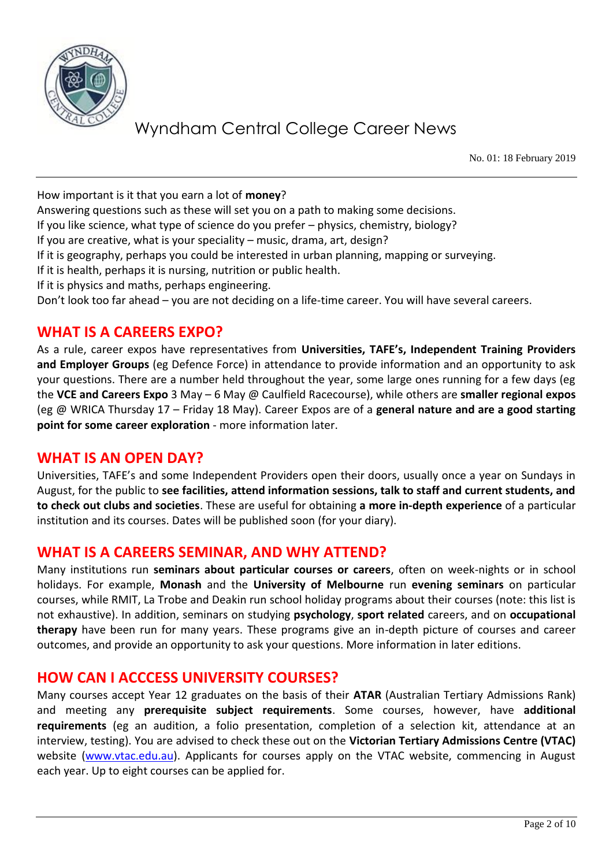

No. 01: 18 February 2019

How important is it that you earn a lot of **money**?

Answering questions such as these will set you on a path to making some decisions.

If you like science, what type of science do you prefer – physics, chemistry, biology?

If you are creative, what is your speciality – music, drama, art, design?

If it is geography, perhaps you could be interested in urban planning, mapping or surveying.

If it is health, perhaps it is nursing, nutrition or public health.

If it is physics and maths, perhaps engineering.

Don't look too far ahead – you are not deciding on a life-time career. You will have several careers.

### **WHAT IS A CAREERS EXPO?**

As a rule, career expos have representatives from **Universities, TAFE's, Independent Training Providers and Employer Groups** (eg Defence Force) in attendance to provide information and an opportunity to ask your questions. There are a number held throughout the year, some large ones running for a few days (eg the **VCE and Careers Expo** 3 May – 6 May @ Caulfield Racecourse), while others are **smaller regional expos** (eg @ WRICA Thursday 17 – Friday 18 May). Career Expos are of a **general nature and are a good starting point for some career exploration** - more information later.

### **WHAT IS AN OPEN DAY?**

Universities, TAFE's and some Independent Providers open their doors, usually once a year on Sundays in August, for the public to **see facilities, attend information sessions, talk to staff and current students, and to check out clubs and societies**. These are useful for obtaining **a more in-depth experience** of a particular institution and its courses. Dates will be published soon (for your diary).

### **WHAT IS A CAREERS SEMINAR, AND WHY ATTEND?**

Many institutions run **seminars about particular courses or careers**, often on week-nights or in school holidays. For example, **Monash** and the **University of Melbourne** run **evening seminars** on particular courses, while RMIT, La Trobe and Deakin run school holiday programs about their courses (note: this list is not exhaustive). In addition, seminars on studying **psychology**, **sport related** careers, and on **occupational therapy** have been run for many years. These programs give an in-depth picture of courses and career outcomes, and provide an opportunity to ask your questions. More information in later editions.

### **HOW CAN I ACCCESS UNIVERSITY COURSES?**

Many courses accept Year 12 graduates on the basis of their **ATAR** (Australian Tertiary Admissions Rank) and meeting any **prerequisite subject requirements**. Some courses, however, have **additional requirements** (eg an audition, a folio presentation, completion of a selection kit, attendance at an interview, testing). You are advised to check these out on the **Victorian Tertiary Admissions Centre (VTAC)** website [\(www.vtac.edu.au\)](http://www.vtac.edu.au/). Applicants for courses apply on the VTAC website, commencing in August each year. Up to eight courses can be applied for.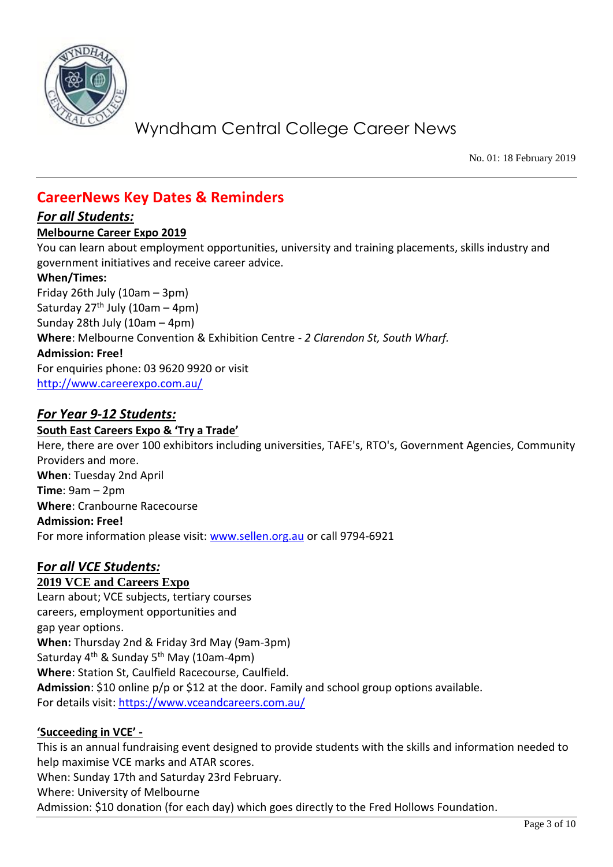

No. 01: 18 February 2019

## **CareerNews Key Dates & Reminders**

#### *For all Students:*

#### **Melbourne Career Expo 2019**

You can learn about employment opportunities, university and training placements, skills industry and government initiatives and receive career advice.

#### **When/Times:**

Friday 26th July (10am – 3pm) Saturday  $27<sup>th</sup>$  July (10am – 4pm) Sunday 28th July (10am – 4pm) **Where**: Melbourne Convention & Exhibition Centre - *2 Clarendon St, South Wharf.*  **Admission: Free!** For enquiries phone: 03 9620 9920 or visit <http://www.careerexpo.com.au/>

### *For Year 9-12 Students:*

**South East Careers Expo & 'Try a Trade'** Here, there are over 100 exhibitors including universities, TAFE's, RTO's, Government Agencies, Community Providers and more. **When**: Tuesday 2nd April **Time**: 9am – 2pm **Where**: Cranbourne Racecourse **Admission: Free!** For more information please visit: [www.sellen.org.au](http://www.sellen.org.au/) or call 9794-6921

## **F***or all VCE Students:*

### **2019 VCE and Careers Expo**

Learn about; VCE subjects, tertiary courses careers, employment opportunities and gap year options. **When:** Thursday 2nd & Friday 3rd May (9am-3pm) Saturday 4<sup>th</sup> & Sunday 5<sup>th</sup> May (10am-4pm) **Where**: Station St, Caulfield Racecourse, Caulfield. **Admission**: \$10 online p/p or \$12 at the door. Family and school group options available. For details visit:<https://www.vceandcareers.com.au/>

### **'Succeeding in VCE' -**

This is an annual fundraising event designed to provide students with the skills and information needed to help maximise VCE marks and ATAR scores.

When: Sunday 17th and Saturday 23rd February.

Where: University of Melbourne

Admission: \$10 donation (for each day) which goes directly to the Fred Hollows Foundation.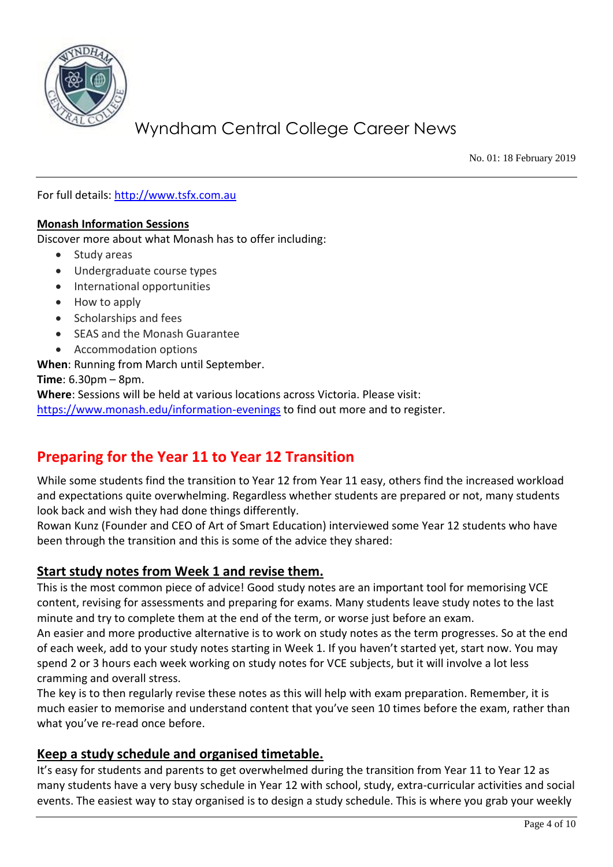

No. 01: 18 February 2019

For full details: [http://www.tsfx.com.au](http://www.tsfx.com.au/)

#### **Monash Information Sessions**

Discover more about what Monash has to offer including:

- Study areas
- Undergraduate course types
- International opportunities
- How to apply
- Scholarships and fees
- SEAS and the Monash Guarantee
- Accommodation options

**When**: Running from March until September.

**Time**: 6.30pm – 8pm.

**Where**: Sessions will be held at various locations across Victoria. Please visit:

<https://www.monash.edu/information-evenings> to find out more and to register.

## **Preparing for the Year 11 to Year 12 Transition**

While some students find the transition to Year 12 from Year 11 easy, others find the increased workload and expectations quite overwhelming. Regardless whether students are prepared or not, many students look back and wish they had done things differently.

Rowan Kunz (Founder and CEO of Art of Smart Education) interviewed some Year 12 students who have been through the transition and this is some of the advice they shared:

### **Start study notes from Week 1 and revise them.**

This is the most common piece of advice! Good study notes are an important tool for memorising VCE content, revising for assessments and preparing for exams. Many students leave study notes to the last minute and try to complete them at the end of the term, or worse just before an exam.

An easier and more productive alternative is to work on study notes as the term progresses. So at the end of each week, add to your study notes starting in Week 1. If you haven't started yet, start now. You may spend 2 or 3 hours each week working on study notes for VCE subjects, but it will involve a lot less cramming and overall stress.

The key is to then regularly revise these notes as this will help with exam preparation. Remember, it is much easier to memorise and understand content that you've seen 10 times before the exam, rather than what you've re-read once before.

### **Keep a study schedule and organised timetable.**

It's easy for students and parents to get overwhelmed during the transition from Year 11 to Year 12 as many students have a very busy schedule in Year 12 with school, study, extra-curricular activities and social events. The easiest way to stay organised is to design a study schedule. This is where you grab your weekly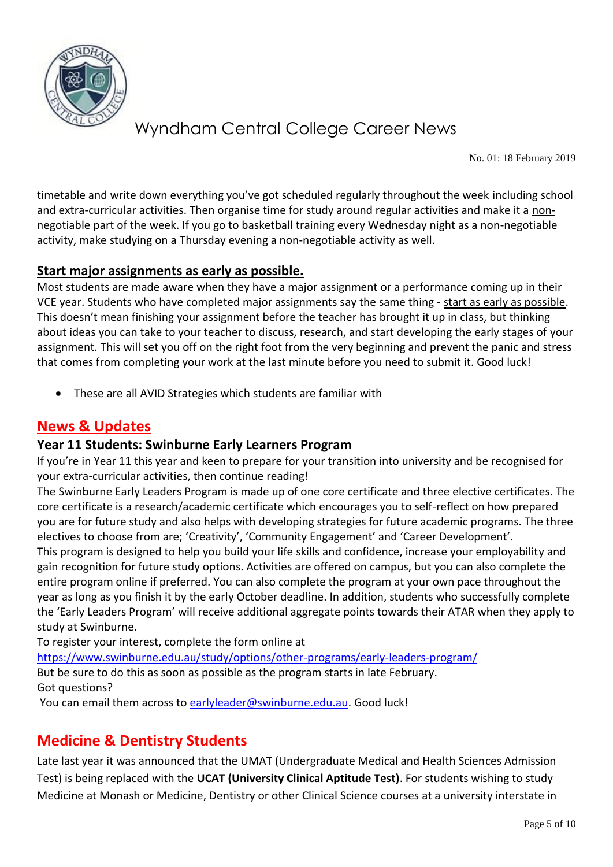

No. 01: 18 February 2019

timetable and write down everything you've got scheduled regularly throughout the week including school and extra-curricular activities. Then organise time for study around regular activities and make it a nonnegotiable part of the week. If you go to basketball training every Wednesday night as a non-negotiable activity, make studying on a Thursday evening a non-negotiable activity as well.

### **Start major assignments as early as possible.**

Most students are made aware when they have a major assignment or a performance coming up in their VCE year. Students who have completed major assignments say the same thing - start as early as possible. This doesn't mean finishing your assignment before the teacher has brought it up in class, but thinking about ideas you can take to your teacher to discuss, research, and start developing the early stages of your assignment. This will set you off on the right foot from the very beginning and prevent the panic and stress that comes from completing your work at the last minute before you need to submit it. Good luck!

These are all AVID Strategies which students are familiar with

## **News & Updates**

### **Year 11 Students: Swinburne Early Learners Program**

If you're in Year 11 this year and keen to prepare for your transition into university and be recognised for your extra-curricular activities, then continue reading!

The Swinburne Early Leaders Program is made up of one core certificate and three elective certificates. The core certificate is a research/academic certificate which encourages you to self-reflect on how prepared you are for future study and also helps with developing strategies for future academic programs. The three electives to choose from are; 'Creativity', 'Community Engagement' and 'Career Development'.

This program is designed to help you build your life skills and confidence, increase your employability and gain recognition for future study options. Activities are offered on campus, but you can also complete the entire program online if preferred. You can also complete the program at your own pace throughout the year as long as you finish it by the early October deadline. In addition, students who successfully complete the 'Early Leaders Program' will receive additional aggregate points towards their ATAR when they apply to study at Swinburne.

To register your interest, complete the form online at

<https://www.swinburne.edu.au/study/options/other-programs/early-leaders-program/> But be sure to do this as soon as possible as the program starts in late February. Got questions?

You can email them across to [earlyleader@swinburne.edu.au.](mailto:earlyleader@swinburne.edu.au) Good luck!

## **Medicine & Dentistry Students**

Late last year it was announced that the UMAT (Undergraduate Medical and Health Sciences Admission Test) is being replaced with the **UCAT (University Clinical Aptitude Test)**. For students wishing to study Medicine at Monash or Medicine, Dentistry or other Clinical Science courses at a university interstate in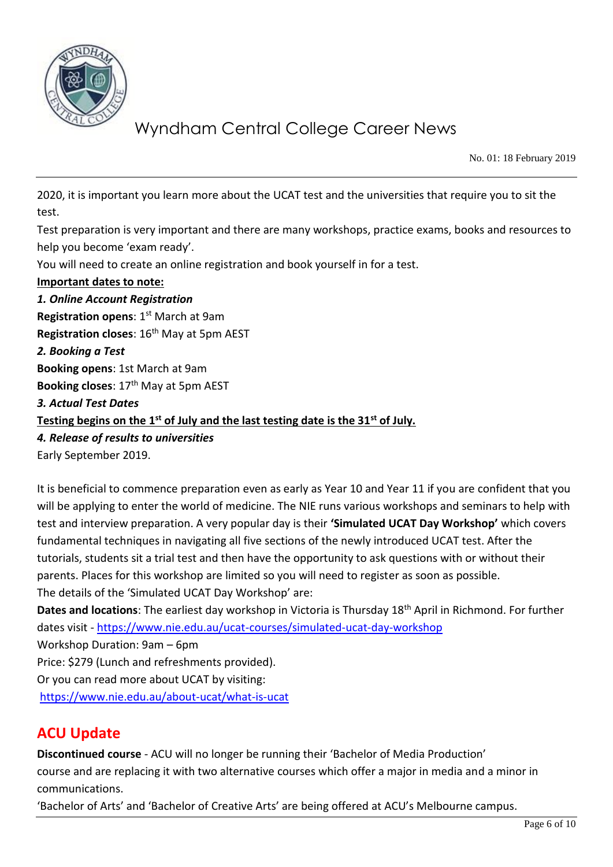

No. 01: 18 February 2019

2020, it is important you learn more about the UCAT test and the universities that require you to sit the test.

Test preparation is very important and there are many workshops, practice exams, books and resources to help you become 'exam ready'.

You will need to create an online registration and book yourself in for a test.

#### **Important dates to note:**

*1. Online Account Registration* **Registration opens: 1st March at 9am Registration closes**: 16th May at 5pm AEST *2. Booking a Test* **Booking opens**: 1st March at 9am **Booking closes**: 17th May at 5pm AEST *3. Actual Test Dates* **Testing begins on the 1st of July and the last testing date is the 31st of July.**  *4. Release of results to universities* Early September 2019.

It is beneficial to commence preparation even as early as Year 10 and Year 11 if you are confident that you will be applying to enter the world of medicine. The NIE runs various workshops and seminars to help with test and interview preparation. A very popular day is their **'Simulated UCAT Day Workshop'** which covers fundamental techniques in navigating all five sections of the newly introduced UCAT test. After the tutorials, students sit a trial test and then have the opportunity to ask questions with or without their parents. Places for this workshop are limited so you will need to register as soon as possible. The details of the 'Simulated UCAT Day Workshop' are:

**Dates and locations**: The earliest day workshop in Victoria is Thursday 18th April in Richmond. For further dates visit - <https://www.nie.edu.au/ucat-courses/simulated-ucat-day-workshop>

Workshop Duration: 9am – 6pm

Price: \$279 (Lunch and refreshments provided).

Or you can read more about UCAT by visiting:

<https://www.nie.edu.au/about-ucat/what-is-ucat>

### **ACU Update**

**Discontinued course** - ACU will no longer be running their 'Bachelor of Media Production' course and are replacing it with two alternative courses which offer a major in media and a minor in communications.

'Bachelor of Arts' and 'Bachelor of Creative Arts' are being offered at ACU's Melbourne campus.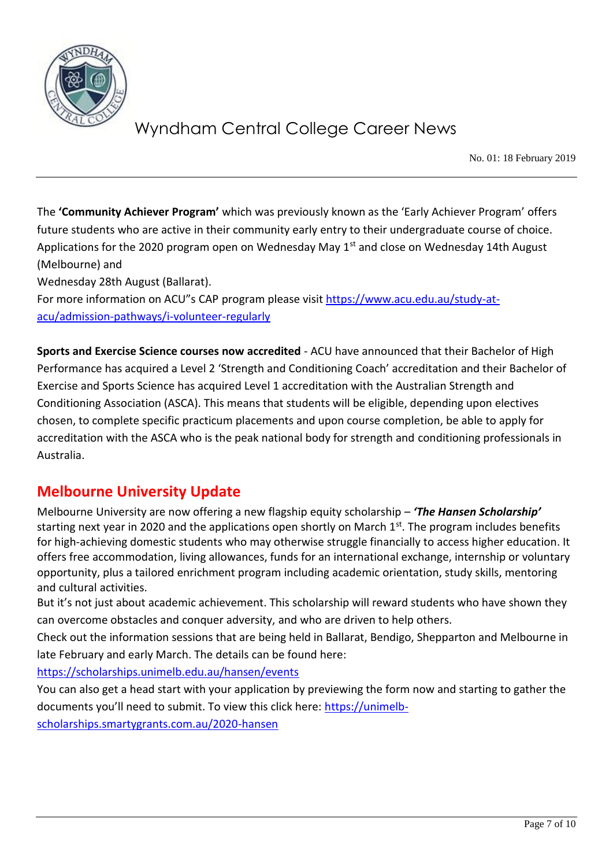

No. 01: 18 February 2019

The **'Community Achiever Program'** which was previously known as the 'Early Achiever Program' offers future students who are active in their community early entry to their undergraduate course of choice. Applications for the 2020 program open on Wednesday May  $1<sup>st</sup>$  and close on Wednesday 14th August (Melbourne) and

Wednesday 28th August (Ballarat).

For more information on ACU"s CAP program please visit [https://www.acu.edu.au/study-at](https://www.acu.edu.au/study-at-acu/admission-pathways/i-volunteer-regularly)[acu/admission-pathways/i-volunteer-regularly](https://www.acu.edu.au/study-at-acu/admission-pathways/i-volunteer-regularly)

**Sports and Exercise Science courses now accredited** - ACU have announced that their Bachelor of High Performance has acquired a Level 2 'Strength and Conditioning Coach' accreditation and their Bachelor of Exercise and Sports Science has acquired Level 1 accreditation with the Australian Strength and Conditioning Association (ASCA). This means that students will be eligible, depending upon electives chosen, to complete specific practicum placements and upon course completion, be able to apply for accreditation with the ASCA who is the peak national body for strength and conditioning professionals in Australia.

## **Melbourne University Update**

Melbourne University are now offering a new flagship equity scholarship – *'The Hansen Scholarship'* starting next year in 2020 and the applications open shortly on March  $1<sup>st</sup>$ . The program includes benefits for high-achieving domestic students who may otherwise struggle financially to access higher education. It offers free accommodation, living allowances, funds for an international exchange, internship or voluntary opportunity, plus a tailored enrichment program including academic orientation, study skills, mentoring and cultural activities.

But it's not just about academic achievement. This scholarship will reward students who have shown they can overcome obstacles and conquer adversity, and who are driven to help others.

Check out the information sessions that are being held in Ballarat, Bendigo, Shepparton and Melbourne in late February and early March. The details can be found here:

<https://scholarships.unimelb.edu.au/hansen/events>

You can also get a head start with your application by previewing the form now and starting to gather the documents you'll need to submit. To view this click here: [https://unimelb-](https://unimelb-scholarships.smartygrants.com.au/2020-hansen)

[scholarships.smartygrants.com.au/2020-hansen](https://unimelb-scholarships.smartygrants.com.au/2020-hansen)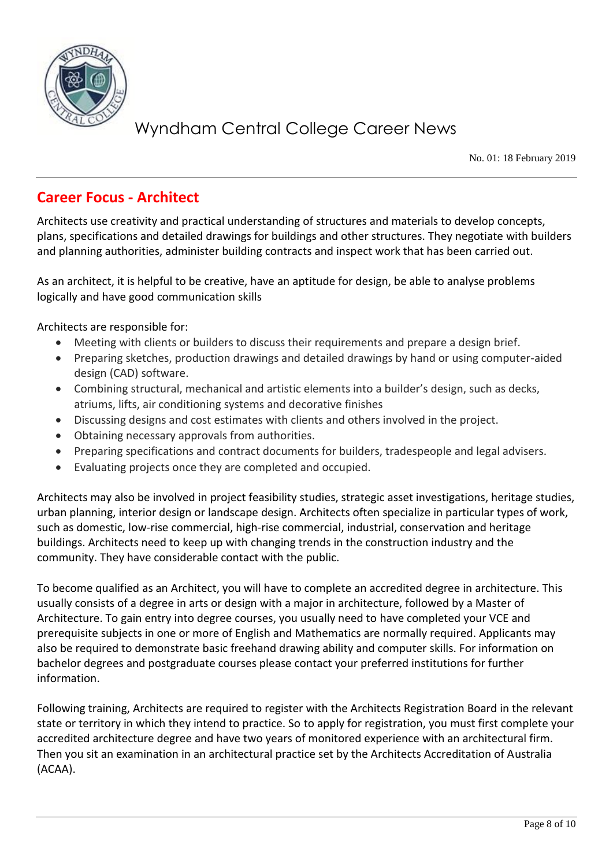

No. 01: 18 February 2019

## **Career Focus - Architect**

Architects use creativity and practical understanding of structures and materials to develop concepts, plans, specifications and detailed drawings for buildings and other structures. They negotiate with builders and planning authorities, administer building contracts and inspect work that has been carried out.

As an architect, it is helpful to be creative, have an aptitude for design, be able to analyse problems logically and have good communication skills

Architects are responsible for:

- Meeting with clients or builders to discuss their requirements and prepare a design brief.
- Preparing sketches, production drawings and detailed drawings by hand or using computer-aided design (CAD) software.
- Combining structural, mechanical and artistic elements into a builder's design, such as decks, atriums, lifts, air conditioning systems and decorative finishes
- Discussing designs and cost estimates with clients and others involved in the project.
- Obtaining necessary approvals from authorities.
- Preparing specifications and contract documents for builders, tradespeople and legal advisers.
- Evaluating projects once they are completed and occupied.

Architects may also be involved in project feasibility studies, strategic asset investigations, heritage studies, urban planning, interior design or landscape design. Architects often specialize in particular types of work, such as domestic, low-rise commercial, high-rise commercial, industrial, conservation and heritage buildings. Architects need to keep up with changing trends in the construction industry and the community. They have considerable contact with the public.

To become qualified as an Architect, you will have to complete an accredited degree in architecture. This usually consists of a degree in arts or design with a major in architecture, followed by a Master of Architecture. To gain entry into degree courses, you usually need to have completed your VCE and prerequisite subjects in one or more of English and Mathematics are normally required. Applicants may also be required to demonstrate basic freehand drawing ability and computer skills. For information on bachelor degrees and postgraduate courses please contact your preferred institutions for further information.

Following training, Architects are required to register with the Architects Registration Board in the relevant state or territory in which they intend to practice. So to apply for registration, you must first complete your accredited architecture degree and have two years of monitored experience with an architectural firm. Then you sit an examination in an architectural practice set by the Architects Accreditation of Australia (ACAA).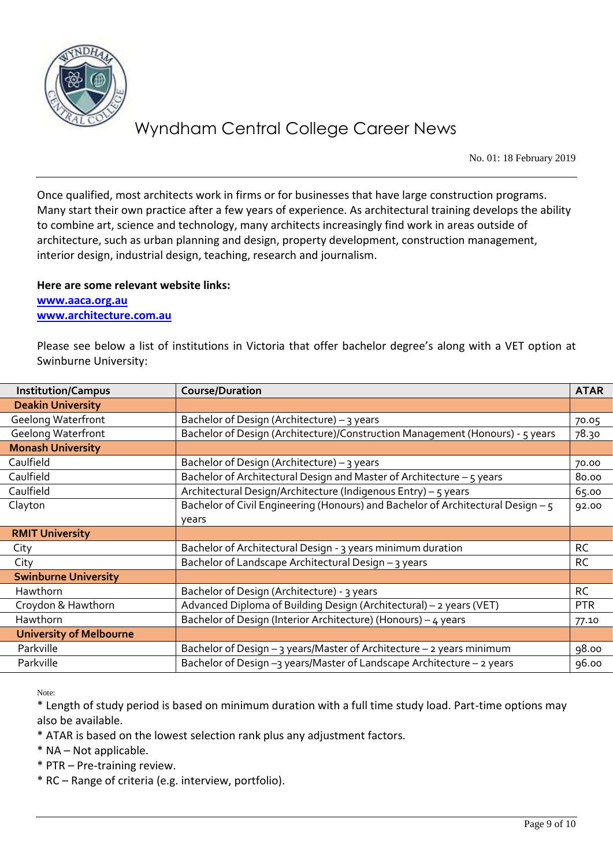

No. 01: 18 February 2019

Once qualified, most architects work in firms or for businesses that have large construction programs. Many start their own practice after a few years of experience. As architectural training develops the ability to combine art, science and technology, many architects increasingly find work in areas outside of architecture, such as urban planning and design, property development, construction management, interior design, industrial design, teaching, research and journalism.

#### **Here are some relevant website links: [www.aaca.org.au](http://www.aaca.org.au/) [www.architecture.com.au](http://www.architecture.com.au/)**

Please see below a list of institutions in Victoria that offer bachelor degree's along with a VET option at Swinburne University:

| <b>Institution/Campus</b>      | <b>Course/Duration</b>                                                           | <b>ATAR</b> |
|--------------------------------|----------------------------------------------------------------------------------|-------------|
| <b>Deakin University</b>       |                                                                                  |             |
| <b>Geelong Waterfront</b>      | Bachelor of Design (Architecture) - 3 years                                      | 70.05       |
| <b>Geelong Waterfront</b>      | Bachelor of Design (Architecture)/Construction Management (Honours) - 5 years    | 78.30       |
| <b>Monash University</b>       |                                                                                  |             |
| Caulfield                      | Bachelor of Design (Architecture) – 3 years                                      | 70.00       |
| Caulfield                      | Bachelor of Architectural Design and Master of Architecture - 5 years            | 80.00       |
| Caulfield                      | Architectural Design/Architecture (Indigenous Entry) - 5 years                   | 65.00       |
| Clayton                        | Bachelor of Civil Engineering (Honours) and Bachelor of Architectural Design - 5 | 92.00       |
|                                | years                                                                            |             |
| <b>RMIT University</b>         |                                                                                  |             |
| City                           | Bachelor of Architectural Design - 3 years minimum duration                      | <b>RC</b>   |
| City                           | Bachelor of Landscape Architectural Design - 3 years                             | <b>RC</b>   |
| <b>Swinburne University</b>    |                                                                                  |             |
| Hawthorn                       | Bachelor of Design (Architecture) - 3 years                                      | <b>RC</b>   |
| Croydon & Hawthorn             | Advanced Diploma of Building Design (Architectural) - 2 years (VET)              | <b>PTR</b>  |
| Hawthorn                       | Bachelor of Design (Interior Architecture) (Honours) - 4 years                   | 77.10       |
| <b>University of Melbourne</b> |                                                                                  |             |
| Parkville                      | Bachelor of Design - 3 years/Master of Architecture - 2 years minimum            | 98.00       |
| Parkville                      | Bachelor of Design -3 years/Master of Landscape Architecture - 2 years           | 96.00       |

Note:

\* Length of study period is based on minimum duration with a full time study load. Part-time options may also be available.

\* ATAR is based on the lowest selection rank plus any adjustment factors.

\* NA – Not applicable.

\* PTR – Pre-training review.

\* RC – Range of criteria (e.g. interview, portfolio).